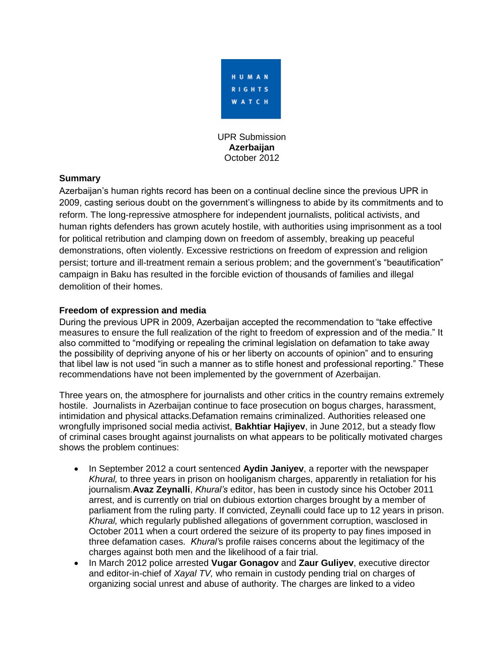

UPR Submission **Azerbaijan** October 2012

### **Summary**

Azerbaijan's human rights record has been on a continual decline since the previous UPR in 2009, casting serious doubt on the government's willingness to abide by its commitments and to reform. The long-repressive atmosphere for independent journalists, political activists, and human rights defenders has grown acutely hostile, with authorities using imprisonment as a tool for political retribution and clamping down on freedom of assembly, breaking up peaceful demonstrations, often violently. Excessive restrictions on freedom of expression and religion persist; torture and ill-treatment remain a serious problem; and the government's "beautification" campaign in Baku has resulted in the forcible eviction of thousands of families and illegal demolition of their homes.

### **Freedom of expression and media**

During the previous UPR in 2009, Azerbaijan accepted the recommendation to "take effective measures to ensure the full realization of the right to freedom of expression and of the media." It also committed to "modifying or repealing the criminal legislation on defamation to take away the possibility of depriving anyone of his or her liberty on accounts of opinion" and to ensuring that libel law is not used "in such a manner as to stifle honest and professional reporting." These recommendations have not been implemented by the government of Azerbaijan.

Three years on, the atmosphere for journalists and other critics in the country remains extremely hostile. Journalists in Azerbaijan continue to face prosecution on bogus charges, harassment, intimidation and physical attacks.Defamation remains criminalized. Authorities released one wrongfully imprisoned social media activist, **Bakhtiar Hajiyev**, in June 2012, but a steady flow of criminal cases brought against journalists on what appears to be politically motivated charges shows the problem continues:

- In September 2012 a court sentenced **Aydin Janiyev**, a reporter with the newspaper *Khural,* to three years in prison on hooliganism charges, apparently in retaliation for his journalism.**Avaz Zeynalli**, *Khural's* editor, has been in custody since his October 2011 arrest, and is currently on trial on dubious extortion charges brought by a member of parliament from the ruling party. If convicted, Zeynalli could face up to 12 years in prison. *Khural,* which regularly published allegations of government corruption, wasclosed in October 2011 when a court ordered the seizure of its property to pay fines imposed in three defamation cases. *Khural'*s profile raises concerns about the legitimacy of the charges against both men and the likelihood of a fair trial.
- In March 2012 police arrested **Vugar Gonagov** and **Zaur Guliyev**, executive director and editor-in-chief of *Xayal TV,* who remain in custody pending trial on charges of organizing social unrest and abuse of authority. The charges are linked to a video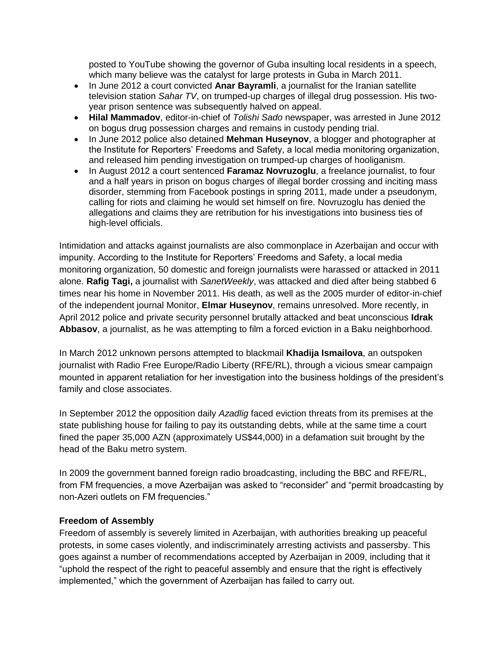posted to YouTube showing the governor of Guba insulting local residents in a speech, which many believe was the catalyst for large protests in Guba in March 2011.

- In June 2012 a court convicted **Anar Bayramii**, a journalist for the Iranian satellite television station *Sahar TV*, on trumped-up charges of illegal drug possession. His twoyear prison sentence was subsequently halved on appeal.
- **Hilal Mammadov**, editor-in-chief of *Tolishi Sado* newspaper, was arrested in June 2012 on bogus drug possession charges and remains in custody pending trial.
- In June 2012 police also detained **Mehman Huseynov**, a blogger and photographer at the Institute for Reporters' Freedoms and Safety, a local media monitoring organization, and released him pending investigation on trumped-up charges of hooliganism.
- In August 2012 a court sentenced **Faramaz Novruzoglu**, a freelance journalist, to four and a half years in prison on bogus charges of illegal border crossing and inciting mass disorder, stemming from Facebook postings in spring 2011, made under a pseudonym, calling for riots and claiming he would set himself on fire. Novruzoglu has denied the allegations and claims they are retribution for his investigations into business ties of high-level officials.

Intimidation and attacks against journalists are also commonplace in Azerbaijan and occur with impunity. According to the Institute for Reporters' Freedoms and Safety, a local media monitoring organization, 50 domestic and foreign journalists were harassed or attacked in 2011 alone. **Rafig Tagi,** a journalist with *SanetWeekly*, was attacked and died after being stabbed 6 times near his home in November 2011. His death, as well as the 2005 murder of editor-in-chief of the independent journal Monitor, **Elmar Huseynov**, remains unresolved. More recently, in April 2012 police and private security personnel brutally attacked and beat unconscious **Idrak Abbasov**, a journalist, as he was attempting to film a forced eviction in a Baku neighborhood.

In March 2012 unknown persons attempted to blackmail **Khadija Ismailova**, an outspoken journalist with Radio Free Europe/Radio Liberty (RFE/RL), through a vicious smear campaign mounted in apparent retaliation for her investigation into the business holdings of the president's family and close associates.

In September 2012 the opposition daily *Azadlig* faced eviction threats from its premises at the state publishing house for failing to pay its outstanding debts, while at the same time a court fined the paper 35,000 AZN (approximately US\$44,000) in a defamation suit brought by the head of the Baku metro system.

In 2009 the government banned foreign radio broadcasting, including the BBC and RFE/RL, from FM frequencies, a move Azerbaijan was asked to "reconsider" and "permit broadcasting by non-Azeri outlets on FM frequencies."

### **Freedom of Assembly**

Freedom of assembly is severely limited in Azerbaijan, with authorities breaking up peaceful protests, in some cases violently, and indiscriminately arresting activists and passersby. This goes against a number of recommendations accepted by Azerbaijan in 2009, including that it "uphold the respect of the right to peaceful assembly and ensure that the right is effectively implemented," which the government of Azerbaijan has failed to carry out.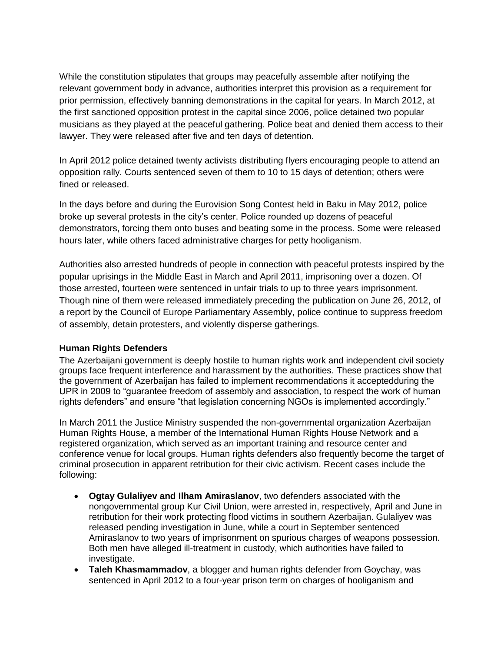While the constitution stipulates that groups may peacefully assemble after notifying the relevant government body in advance, authorities interpret this provision as a requirement for prior permission, effectively banning demonstrations in the capital for years. In March 2012, at the first sanctioned opposition protest in the capital since 2006, police detained two popular musicians as they played at the peaceful gathering. Police beat and denied them access to their lawyer. They were released after five and ten days of detention.

In April 2012 police detained twenty activists distributing flyers encouraging people to attend an opposition rally. Courts sentenced seven of them to 10 to 15 days of detention; others were fined or released.

In the days before and during the Eurovision Song Contest held in Baku in May 2012, police broke up several protests in the city's center. Police rounded up dozens of peaceful demonstrators, forcing them onto buses and beating some in the process. Some were released hours later, while others faced administrative charges for petty hooliganism.

Authorities also arrested hundreds of people in connection with peaceful protests inspired by the popular uprisings in the Middle East in March and April 2011, imprisoning over a dozen. Of those arrested, fourteen were sentenced in unfair trials to up to three years imprisonment. Though nine of them were released immediately preceding the publication on June 26, 2012, of a report by the Council of Europe Parliamentary Assembly, police continue to suppress freedom of assembly, detain protesters, and violently disperse gatherings.

# **Human Rights Defenders**

The Azerbaijani government is deeply hostile to human rights work and independent civil society groups face frequent interference and harassment by the authorities. These practices show that the government of Azerbaijan has failed to implement recommendations it acceptedduring the UPR in 2009 to "guarantee freedom of assembly and association, to respect the work of human rights defenders" and ensure "that legislation concerning NGOs is implemented accordingly."

In March 2011 the Justice Ministry suspended the non-governmental organization Azerbaijan Human Rights House, a member of the International Human Rights House Network and a registered organization, which served as an important training and resource center and conference venue for local groups. Human rights defenders also frequently become the target of criminal prosecution in apparent retribution for their civic activism. Recent cases include the following:

- **Ogtay Gulaliyev and Ilham Amiraslanov**, two defenders associated with the nongovernmental group Kur Civil Union, were arrested in, respectively, April and June in retribution for their work protecting flood victims in southern Azerbaijan. Gulaliyev was released pending investigation in June, while a court in September sentenced Amiraslanov to two years of imprisonment on spurious charges of weapons possession. Both men have alleged ill-treatment in custody, which authorities have failed to investigate.
- **Taleh Khasmammadov**, a blogger and human rights defender from Goychay, was sentenced in April 2012 to a four-year prison term on charges of hooliganism and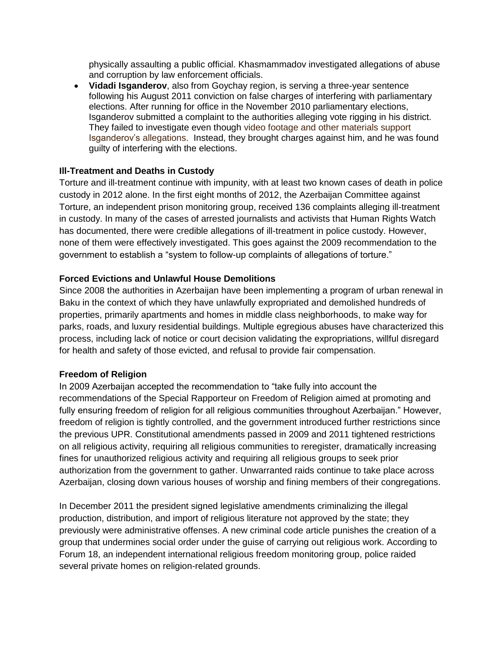physically assaulting a public official. Khasmammadov investigated allegations of abuse and corruption by law enforcement officials.

 **Vidadi Isganderov**, also from Goychay region, is serving a three-year sentence following his August 2011 conviction on false charges of interfering with parliamentary elections. After running for office in the November 2010 parliamentary elections, Isganderov submitted a complaint to the authorities alleging vote rigging in his district. They failed to investigate even though video footage and other materials support Isganderov's allegations. Instead, they brought charges against him, and he was found guilty of interfering with the elections.

### **Ill-Treatment and Deaths in Custody**

Torture and ill-treatment continue with impunity, with at least two known cases of death in police custody in 2012 alone. In the first eight months of 2012, the Azerbaijan Committee against Torture, an independent prison monitoring group, received 136 complaints alleging ill-treatment in custody. In many of the cases of arrested journalists and activists that Human Rights Watch has documented, there were credible allegations of ill-treatment in police custody. However, none of them were effectively investigated. This goes against the 2009 recommendation to the government to establish a "system to follow-up complaints of allegations of torture."

## **Forced Evictions and Unlawful House Demolitions**

Since 2008 the authorities in Azerbaijan have been implementing a program of urban renewal in Baku in the context of which they have unlawfully expropriated and demolished hundreds of properties, primarily apartments and homes in middle class neighborhoods, to make way for parks, roads, and luxury residential buildings. Multiple egregious abuses have characterized this process, including lack of notice or court decision validating the expropriations, willful disregard for health and safety of those evicted, and refusal to provide fair compensation.

### **Freedom of Religion**

In 2009 Azerbaijan accepted the recommendation to "take fully into account the recommendations of the Special Rapporteur on Freedom of Religion aimed at promoting and fully ensuring freedom of religion for all religious communities throughout Azerbaijan." However, freedom of religion is tightly controlled, and the government introduced further restrictions since the previous UPR. Constitutional amendments passed in 2009 and 2011 tightened restrictions on all religious activity, requiring all religious communities to reregister, dramatically increasing fines for unauthorized religious activity and requiring all religious groups to seek prior authorization from the government to gather. Unwarranted raids continue to take place across Azerbaijan, closing down various houses of worship and fining members of their congregations.

In December 2011 the president signed legislative amendments criminalizing the illegal production, distribution, and import of religious literature not approved by the state; they previously were administrative offenses. A new criminal code article punishes the creation of a group that undermines social order under the guise of carrying out religious work. According to Forum 18, an independent international religious freedom monitoring group, police raided several private homes on religion-related grounds.